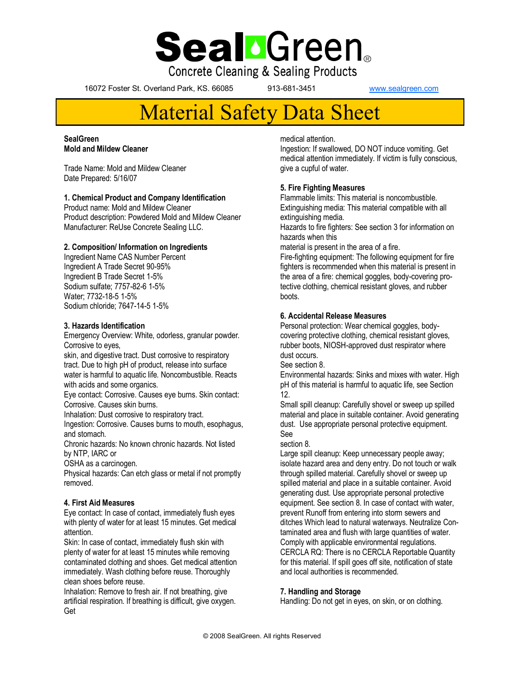

**Concrete Cleaning & Sealing Products** 

16072 Foster St. Overland Park, KS. 66085 913-681-3451 [www.sealgreen.com](http://www.greenseal.com)

# Material Safety Data Sheet

#### **SealGreen Mold and Mildew Cleaner**

Trade Name: Mold and Mildew Cleaner Date Prepared: 5/16/07

# **1. Chemical Product and Company Identification**

Product name: Mold and Mildew Cleaner Product description: Powdered Mold and Mildew Cleaner Manufacturer: ReUse Concrete Sealing LLC.

# **2. Composition/ Information on Ingredients**

Ingredient Name CAS Number Percent Ingredient A Trade Secret 90-95% Ingredient B Trade Secret 1-5% Sodium sulfate; 7757-82-6 1-5% Water; 7732-18-5 1-5% Sodium chloride; 7647-14-5 1-5%

### **3. Hazards Identification**

Emergency Overview: White, odorless, granular powder. Corrosive to eyes,

skin, and digestive tract. Dust corrosive to respiratory tract. Due to high pH of product, release into surface water is harmful to aquatic life. Noncombustible. Reacts with acids and some organics.

Eye contact: Corrosive. Causes eye burns. Skin contact: Corrosive. Causes skin burns.

Inhalation: Dust corrosive to respiratory tract.

Ingestion: Corrosive. Causes burns to mouth, esophagus, and stomach.

Chronic hazards: No known chronic hazards. Not listed by NTP, IARC or

OSHA as a carcinogen.

Physical hazards: Can etch glass or metal if not promptly removed.

# **4. First Aid Measures**

Eye contact: In case of contact, immediately flush eyes with plenty of water for at least 15 minutes. Get medical attention.

Skin: In case of contact, immediately flush skin with plenty of water for at least 15 minutes while removing contaminated clothing and shoes. Get medical attention immediately. Wash clothing before reuse. Thoroughly clean shoes before reuse.

Inhalation: Remove to fresh air. If not breathing, give artificial respiration. If breathing is difficult, give oxygen. Get

#### medical attention.

Ingestion: If swallowed, DO NOT induce vomiting. Get medical attention immediately. If victim is fully conscious, give a cupful of water.

### **5. Fire Fighting Measures**

Flammable limits: This material is noncombustible. Extinguishing media: This material compatible with all extinguishing media.

Hazards to fire fighters: See section 3 for information on hazards when this

material is present in the area of a fire.

Fire-fighting equipment: The following equipment for fire fighters is recommended when this material is present in the area of a fire: chemical goggles, body-covering protective clothing, chemical resistant gloves, and rubber boots.

### **6. Accidental Release Measures**

Personal protection: Wear chemical goggles, bodycovering protective clothing, chemical resistant gloves, rubber boots, NIOSH-approved dust respirator where dust occurs.

See section 8.

Environmental hazards: Sinks and mixes with water. High pH of this material is harmful to aquatic life, see Section 12.

Small spill cleanup: Carefully shovel or sweep up spilled material and place in suitable container. Avoid generating dust. Use appropriate personal protective equipment. See

section 8.

Large spill cleanup: Keep unnecessary people away; isolate hazard area and deny entry. Do not touch or walk through spilled material. Carefully shovel or sweep up spilled material and place in a suitable container. Avoid generating dust. Use appropriate personal protective equipment. See section 8. In case of contact with water, prevent Runoff from entering into storm sewers and ditches Which lead to natural waterways. Neutralize Contaminated area and flush with large quantities of water. Comply with applicable environmental regulations. CERCLA RQ: There is no CERCLA Reportable Quantity for this material. If spill goes off site, notification of state and local authorities is recommended.

# **7. Handling and Storage**

Handling: Do not get in eyes, on skin, or on clothing.